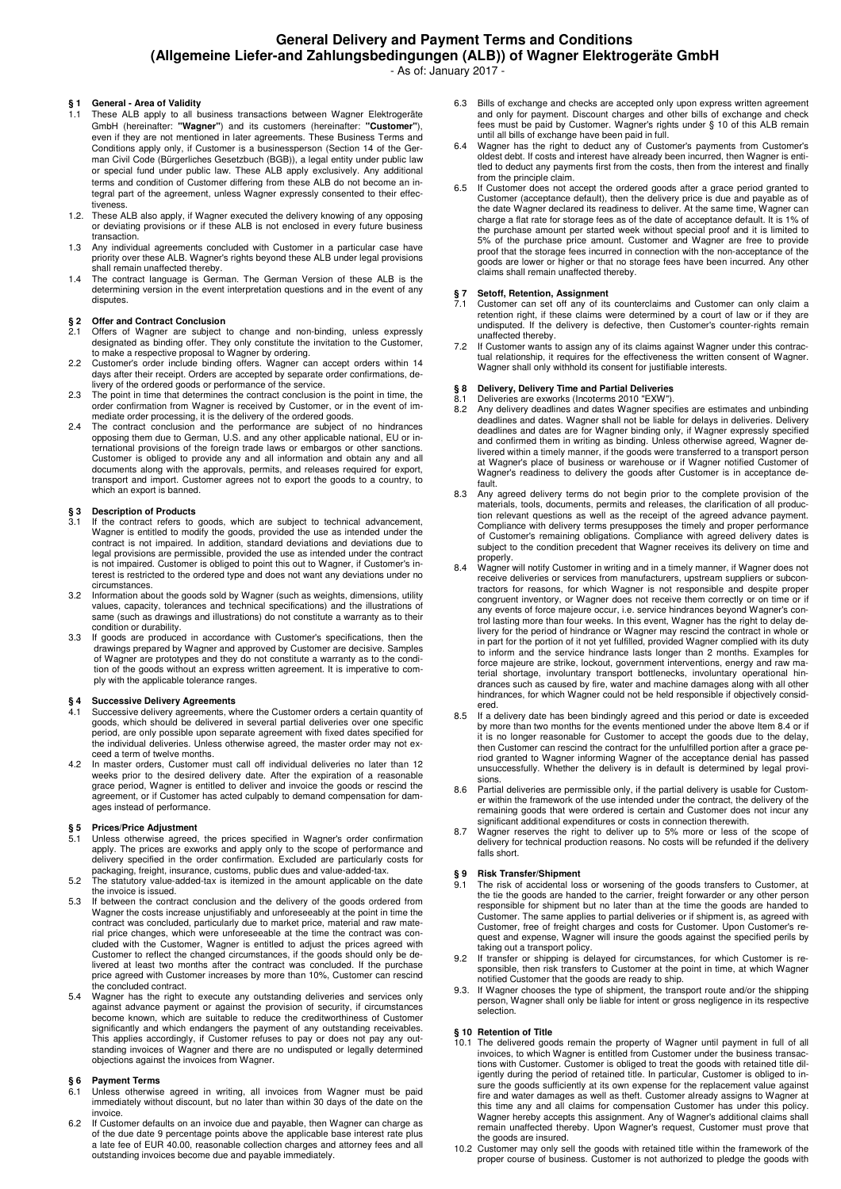## **General Delivery and Payment Terms and Conditions (Allgemeine Liefer-and Zahlungsbedingungen (ALB)) of Wagner Elektrogeräte GmbH**

- As of: January 2017

# **§ 1 General - Area of Validity**

- 1.1 These ALB apply to all business transactions between Wagner Elektrogeräte GmbH (hereinafter: **"Wagner"**) and its customers (hereinafter: **"Customer"**), even if they are not mentioned in later agreements. These Business Terms and Conditions apply only, if Customer is a businessperson (Section 14 of the German Civil Code (Bürgerliches Gesetzbuch (BGB)), a legal entity under public law or special fund under public law. These ALB apply exclusively. Any additional terms and condition of Customer differing from these ALB do not become an integral part of the agreement, unless Wagner expressly consented to their effectiveness.
- 1.2. These ALB also apply, if Wagner executed the delivery knowing of any opposing or deviating provisions or if these ALB is not enclosed in every future business transaction.
- 1.3 Any individual agreements concluded with Customer in a particular case have priority over these ALB. Wagner's rights beyond these ALB under legal provisions shall remain unaffected thereby.
- 1.4 The contract language is German. The German Version of these ALB is the determining version in the event interpretation questions and in the event of any disputes.

#### **§ 2 Offer and Contract Conclusion**

- 2.1 Offers of Wagner are subject to change and non-binding, unless expressly designated as binding offer. They only constitute the invitation to the Customer, to make a respective proposal to Wagner by ordering.
- 2.2 Customer's order include binding offers. Wagner can accept orders within 14 days after their receipt. Orders are accepted by separate order confirmations, de-livery of the ordered goods or performance of the service.
- 2.3 The point in time that determines the contract conclusion is the point in time, the order confirmation from Wagner is received by Customer, or in the event of immediate order processing, it is the delivery of the order
- 2.4 The contract conclusion and the performance are subject of no hindrances opposing them due to German, U.S. and any other applicable national, EU or international provisions of the foreign trade laws or embargos or othe Customer is obliged to provide any and all information and obtain any and all documents along with the approvals, permits, and releases required for export, transport and import. Customer agrees not to export the goods to a country, to which an export is banned.

### **§ 3 Description of Products**

- 3.1 If the contract refers to goods, which are subject to technical advancement, Wagner is entitled to modify the goods, provided the use as intended under the contract is not impaired. In addition, standard deviations and legal provisions are permissible, provided the use as intended under the contract is not impaired. Customer is obliged to point this out to Wagner, if Customer's in-terest is restricted to the ordered type and does not want any deviations under no circumstances.
- 3.2 Information about the goods sold by Wagner (such as weights, dimensions, utility values, capacity, tolerances and technical specifications) and the illustrations of same (such as drawings and illustrations) do not constitute a warranty as to their condition or durability.
- 3.3 If goods are produced in accordance with Customer's specifications, then the drawings prepared by Wagner and approved by Customer are decisive. Samples of Wagner are prototypes and they do not constitute a warranty as to the condi-tion of the goods without an express written agreement. It is imperative to comply with the applicable tolerance ranges.

## **§ 4 Successive Delivery Agreements**

- 4.1 Successive delivery agreements, where the Customer orders a certain quantity of goods, which should be delivered in several partial deliveries over one specific period, are only possible upon separate agreement with fixed dates specified for the individual deliveries. Unless otherwise agreed, the master order may not exceed a term of twelve months.
- 4.2 In master orders, Customer must call off individual deliveries no later than 12 weeks prior to the desired delivery date. After the expiration of a reasonable grace period, Wagner is entitled to deliver and invoice the goods or rescind the agreement, or if Customer has acted culpably to demand compensation for damages instead of performance.

## **§ 5 Prices/Price Adjustment**

- 5.1 Unless otherwise agreed, the prices specified in Wagner's order confirmation apply. The prices are exworks and apply only to the scope of performance and delivery specified in the order confirmation. Excluded are parti
- packaging, freight, insurance, customs, public dues and value-added-tax. 5.2 The statutory value-added-tax is itemized in the amount applicable on the date the invoice is issued.
- 5.3 If between the contract conclusion and the delivery of the goods ordered from<br>Wagner the costs increase unjustifiably and unforeseeably at the point in time the<br>contract was concluded, particularly due to market price, rial price changes, which were unforeseeable at the time the contract was con-<br>cluded with the Customer, Wagner is entitled to adjust the prices agreed with<br>Customer to reflect the changed circumstances, if the goods shoul livered at least two months after the contract was concluded. If the purchase price agreed with Customer increases by more than 10%, Customer can rescind the concluded contract.
- 5.4 Wagner has the right to execute any outstanding deliveries and services only against advance payment or against the provision of security, if circumstances become known, which are suitable to reduce the creditworthines significantly and which endangers the payment of any outstanding receivables. This applies accordingly, if Customer refuses to pay or does not pay any outstanding invoices of Wagner and there are no undisputed or legally determined objections against the invoices from Wagner.

## **§ 6 Payment Terms**

- 6.1 Unless otherwise agreed in writing, all invoices from Wagner must be paid immediately without discount, but no later than within 30 days of the date on the invoice.
- 6.2 If Customer defaults on an invoice due and payable, then Wagner can charge as of the due date 9 percentage points above the applicable base interest rate plus a late fee of EUR 40.00, reasonable collection charges and attorney fees and all outstanding invoices become due and payable immediately.
- 6.3 Bills of exchange and checks are accepted only upon express written agreement and only for payment. Discount charges and other bills of exchange and check fees must be paid by Customer. Wagner's rights under § 10 of this ALB remain until all bills of exchange have been paid in full.
- Wagner has the right to deduct any of Customer's payments from Customer's oldest debt. If costs and interest have already been incurred, then Wagner is entitled to deduct any payments first from the costs, then from the interest and finally from the principle claim.
- 6.5 If Customer does not accept the ordered goods after a grace period granted to<br>Customer (acceptance default), then the delivery price is due and payable as of<br>the date Wagner declared its readiness to deliver. At the sa charge a flat rate for storage fees as of the date of acceptance default. It is 1% of the purchase amount per started week without special proof and it is limited to 5% of the purchase price amount. Customer and Wagner are free to provide proof that the storage fees incurred in connection with the non-acceptance of the goods are lower or higher or that no storage fees have been incurred. Any other claims shall remain unaffected thereby.

# **§ 7 Setoff, Retention, Assignment**

- 7.1 Customer can set off any of its counterclaims and Customer can only claim a retention right, if these claims were determined by a court of law or if they are undisputed. If the delivery is defective, then Customer's counter-rights remain unaffected thereby.
- 7.2 If Customer wants to assign any of its claims against Wagner under this contrac-tual relationship, it requires for the effectiveness the written consent of Wagner. Wagner shall only withhold its consent for justifiable interests.

# **§ 8 Delivery, Delivery Time and Partial Deliveries**

- 8.1 Deliveries are exworks (Incoterms 2010 "EXW").
- Any delivery deadlines and dates Wagner specifies are estimates and unbinding deadlines and dates. Wagner shall not be liable for delays in deliveries. Delivery deadlines and dates are for Wagner binding only, if Wagner expressly specified<br>and confirmed them in writing as binding. Unless otherwise agreed, Wagner de-<br>livered within a timely manner, if the goods were transferred to at Wagner's place of business or warehouse or if Wagner notified Customer of Wagner's readiness to delivery the goods after Customer is in acceptance default.
- 8.3 Any agreed delivery terms do not begin prior to the complete provision of the materials, tools, documents, permits and releases, the clarification of all production relevant questions as well as the receipt of the agre Compliance with delivery terms presupposes the timely and proper performance of Customer's remaining obligations. Compliance with agreed delivery dates is subject to the condition precedent that Wagner receives its delivery on time and
- properly. 8.4 Wagner will notify Customer in writing and in a timely manner, if Wagner does not receive deliveries or services from manufacturers, upstream suppliers or subcontractors for reasons, for which Wagner is not responsible and despite proper congruent inventory, or Wagner does not receive them correctly or on time or if any events of force majeure occur, i.e. service hindrances beyond Wagner's control lasting more than four weeks. In this event, Wagner has the right to delay de-livery for the period of hindrance or Wagner may rescind the contract in whole or in part for the portion of it not yet fulfilled, provided Wagner complied with its duty to inform and the service hindrance lasts longer than 2 months. Examples for force majeure are strike, lockout, government interventions, energy and raw material shortage, involuntary transport bottlenecks, involuntary operational hin-<br>drances such as caused by fire, water and machine damages along with all other<br>hindrances, for which Wagner could not be held responsi ered.
- 8.5 If a delivery date has been bindingly agreed and this period or date is exceeded by more than two months for the events mentioned under the above Item 8.4 or if it is no longer reasonable for Customer to accept the goods due to the delay, then Customer can rescind the contract for the unfulfilled portion after a grace pe-riod granted to Wagner informing Wagner of the acceptance denial has passed unsuccessfully. Whether the delivery is in default is determined by legal provisions.
- 8.6 Partial deliveries are permissible only, if the partial delivery is usable for Customer within the framework of the use intended under the contract, the delivery of the remaining goods that were ordered is certain and Customer does not incur any significant additional expenditures or costs in connection therewith.
- 8.7 Wagner reserves the right to deliver up to 5% more or less of the scope of delivery for technical production reasons. No costs will be refunded if the delivery falls short.

#### **§ 9 Risk Transfer/Shipment**

- 9.1 The risk of accidental loss or worsening of the goods transfers to Customer, at the tie the goods are handed to the carrier, freight forwarder or any other person responsible for shipment but no later than at the time Customer. The same applies to partial deliveries or if shipment is, as agreed with<br>Customer, free of freight charges and costs for Customer. Upon Customer's re-<br>quest and expense, Wagner will insure the goods against the s taking out a transport policy.
- 9.2 If transfer or shipping is delayed for circumstances, for which Customer is re-sponsible, then risk transfers to Customer at the point in time, at which Wagner notified Customer that the goods are ready to ship.
- 9.3. If Wagner chooses the type of shipment, the transport route and/or the shipping person, Wagner shall only be liable for intent or gross negligence in its respective selection.

## **§ 10 Retention of Title**

- 10.1 The delivered goods remain the property of Wagner until payment in full of all invoices, to which Wagner is entitled from Customer under the business transactions with Customer. Customer is obliged to treat the goods with retained title dil-igently during the period of retained title. In particular, Customer is obliged to insure the goods sufficiently at its own expense for the replacement value against fire and water damages as well as theft. Customer already assigns to Wagner at this time any and all claims for compensation Customer has under this policy. Wagner hereby accepts this assignment. Any of Wagner's additional claims shall remain unaffected thereby. Upon Wagner's request, Customer must prove that the goods are insured.
- 10.2 Customer may only sell the goods with retained title within the framework of the proper course of business. Customer is not authorized to pledge the goods with